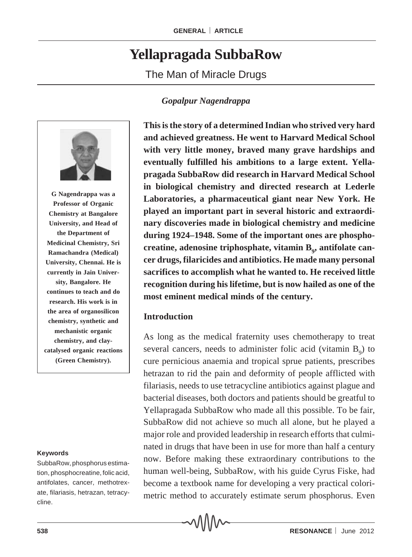# **Yellapragada SubbaRow**

The Man of Miracle Drugs

#### *Gopalpur Nagendrappa*



**G Nagendrappa was a Professor of Organic Chemistry at Bangalore University, and Head of the Department of Medicinal Chemistry, Sri Ramachandra (Medical) University, Chennai. He is currently in Jain University, Bangalore. He continues to teach and do research. His work is in the area of organosilicon chemistry, synthetic and mechanistic organic chemistry, and claycatalysed organic reactions (Green Chemistry).**

#### **Keywords**

SubbaRow, phosphorus estimation, phosphocreatine, folic acid, antifolates, cancer, methotrexate, filariasis, hetrazan, tetracycline.

**This is the story of a determined Indian who strived very hard and achieved greatness. He went to Harvard Medical School with very little money, braved many grave hardships and eventually fulfilled his ambitions to a large extent. Yellapragada SubbaRow did research in Harvard Medical School in biological chemistry and directed research at Lederle Laboratories, a pharmaceutical giant near New York. He played an important part in several historic and extraordinary discoveries made in biological chemistry and medicine during 1924–1948. Some of the important ones are phospho**creatine, adenosine triphosphate, vitamin B<sub>9</sub>, antifolate can**cer drugs, filaricides and antibiotics. He made many personal sacrifices to accomplish what he wanted to. He received little recognition during his lifetime, but is now hailed as one of the most eminent medical minds of the century.**

#### **Introduction**

As long as the medical fraternity uses chemotherapy to treat several cancers, needs to administer folic acid (vitamin  $B_9$ ) to cure pernicious anaemia and tropical sprue patients, prescribes hetrazan to rid the pain and deformity of people afflicted with filariasis, needs to use tetracycline antibiotics against plague and bacterial diseases, both doctors and patients should be greatful to Yellapragada SubbaRow who made all this possible. To be fair, SubbaRow did not achieve so much all alone, but he played a major role and provided leadership in research efforts that culminated in drugs that have been in use for more than half a century now. Before making these extraordinary contributions to the human well-being, SubbaRow, with his guide Cyrus Fiske, had become a textbook name for developing a very practical colorimetric method to accurately estimate serum phosphorus. Even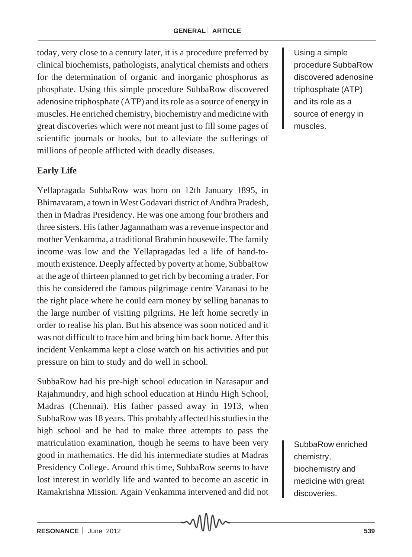today, very close to a century later, it is a procedure preferred by clinical biochemists, pathologists, analytical chemists and others for the determination of organic and inorganic phosphorus as phosphate. Using this simple procedure SubbaRow discovered adenosine triphosphate (ATP) and its role as a source of energy in muscles. He enriched chemistry, biochemistry and medicine with great discoveries which were not meant just to fill some pages of scientific journals or books, but to alleviate the sufferings of millions of people afflicted with deadly diseases.

Using a simple procedure SubbaRow discovered adenosine triphosphate (ATP) and its role as a source of energy in muscles.

#### **Early Life**

Yellapragada SubbaRow was born on 12th January 1895, in Bhimavaram, a town in West Godavari district of Andhra Pradesh, then in Madras Presidency. He was one among four brothers and three sisters. His father Jagannatham was a revenue inspector and mother Venkamma, a traditional Brahmin housewife. The family income was low and the Yellapragadas led a life of hand-tomouth existence. Deeply affected by poverty at home, SubbaRow at the age of thirteen planned to get rich by becoming a trader. For this he considered the famous pilgrimage centre Varanasi to be the right place where he could earn money by selling bananas to the large number of visiting pilgrims. He left home secretly in order to realise his plan. But his absence was soon noticed and it was not difficult to trace him and bring him back home. After this incident Venkamma kept a close watch on his activities and put pressure on him to study and do well in school.

SubbaRow had his pre-high school education in Narasapur and Rajahmundry, and high school education at Hindu High School, Madras (Chennai). His father passed away in 1913, when SubbaRow was 18 years. This probably affected his studies in the high school and he had to make three attempts to pass the matriculation examination, though he seems to have been very good in mathematics. He did his intermediate studies at Madras Presidency College. Around this time, SubbaRow seems to have lost interest in worldly life and wanted to become an ascetic in Ramakrishna Mission. Again Venkamma intervened and did not

SubbaRow enriched chemistry, biochemistry and medicine with great discoveries.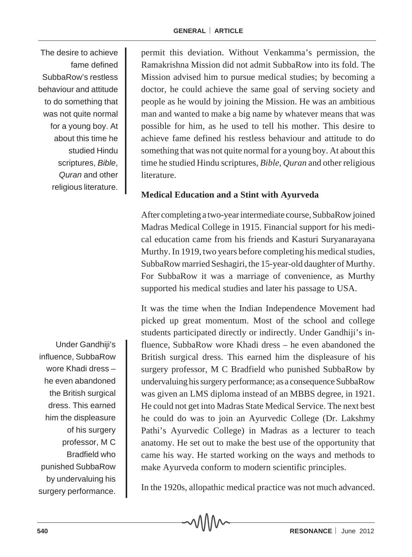The desire to achieve fame defined SubbaRow's restless behaviour and attitude to do something that was not quite normal for a young boy. At about this time he studied Hindu scriptures, *Bible*, *Quran* and other religious literature.

Under Gandhiji's influence, SubbaRow wore Khadi dress – he even abandoned the British surgical dress. This earned him the displeasure of his surgery professor, M C Bradfield who punished SubbaRow by undervaluing his surgery performance.

permit this deviation. Without Venkamma's permission, the Ramakrishna Mission did not admit SubbaRow into its fold. The Mission advised him to pursue medical studies; by becoming a doctor, he could achieve the same goal of serving society and people as he would by joining the Mission. He was an ambitious man and wanted to make a big name by whatever means that was possible for him, as he used to tell his mother. This desire to achieve fame defined his restless behaviour and attitude to do something that was not quite normal for a young boy. At about this time he studied Hindu scriptures, *Bible*, *Quran* and other religious literature.

# **Medical Education and a Stint with Ayurveda**

After completing a two-year intermediate course, SubbaRow joined Madras Medical College in 1915. Financial support for his medical education came from his friends and Kasturi Suryanarayana Murthy. In 1919, two years before completing his medical studies, SubbaRow married Seshagiri, the 15-year-old daughter of Murthy. For SubbaRow it was a marriage of convenience, as Murthy supported his medical studies and later his passage to USA.

It was the time when the Indian Independence Movement had picked up great momentum. Most of the school and college students participated directly or indirectly. Under Gandhiji's influence, SubbaRow wore Khadi dress – he even abandoned the British surgical dress. This earned him the displeasure of his surgery professor, M C Bradfield who punished SubbaRow by undervaluing his surgery performance; as a consequence SubbaRow was given an LMS diploma instead of an MBBS degree, in 1921. He could not get into Madras State Medical Service. The next best he could do was to join an Ayurvedic College (Dr. Lakshmy Pathi's Ayurvedic College) in Madras as a lecturer to teach anatomy. He set out to make the best use of the opportunity that came his way. He started working on the ways and methods to make Ayurveda conform to modern scientific principles.

In the 1920s, allopathic medical practice was not much advanced.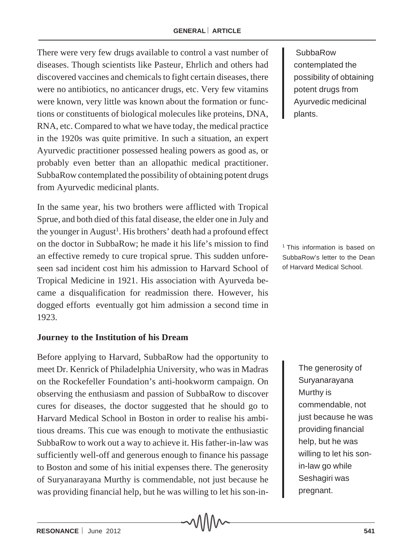There were very few drugs available to control a vast number of diseases. Though scientists like Pasteur, Ehrlich and others had discovered vaccines and chemicals to fight certain diseases, there were no antibiotics, no anticancer drugs, etc. Very few vitamins were known, very little was known about the formation or functions or constituents of biological molecules like proteins, DNA, RNA, etc. Compared to what we have today, the medical practice in the 1920s was quite primitive. In such a situation, an expert Ayurvedic practitioner possessed healing powers as good as, or probably even better than an allopathic medical practitioner. SubbaRow contemplated the possibility of obtaining potent drugs from Ayurvedic medicinal plants.

In the same year, his two brothers were afflicted with Tropical Sprue, and both died of this fatal disease, the elder one in July and the younger in August<sup>1</sup>. His brothers' death had a profound effect on the doctor in SubbaRow; he made it his life's mission to find an effective remedy to cure tropical sprue. This sudden unforeseen sad incident cost him his admission to Harvard School of Tropical Medicine in 1921. His association with Ayurveda became a disqualification for readmission there. However, his dogged efforts eventually got him admission a second time in 1923.

### **Journey to the Institution of his Dream**

Before applying to Harvard, SubbaRow had the opportunity to meet Dr. Kenrick of Philadelphia University, who was in Madras on the Rockefeller Foundation's anti-hookworm campaign. On observing the enthusiasm and passion of SubbaRow to discover cures for diseases, the doctor suggested that he should go to Harvard Medical School in Boston in order to realise his ambitious dreams. This cue was enough to motivate the enthusiastic SubbaRow to work out a way to achieve it. His father-in-law was sufficiently well-off and generous enough to finance his passage to Boston and some of his initial expenses there. The generosity of Suryanarayana Murthy is commendable, not just because he was providing financial help, but he was willing to let his son-in-

 SubbaRow contemplated the possibility of obtaining potent drugs from Ayurvedic medicinal plants.

<sup>1</sup> This information is based on SubbaRow's letter to the Dean of Harvard Medical School.

> The generosity of Suryanarayana Murthy is commendable, not just because he was providing financial help, but he was willing to let his sonin-law go while Seshagiri was pregnant.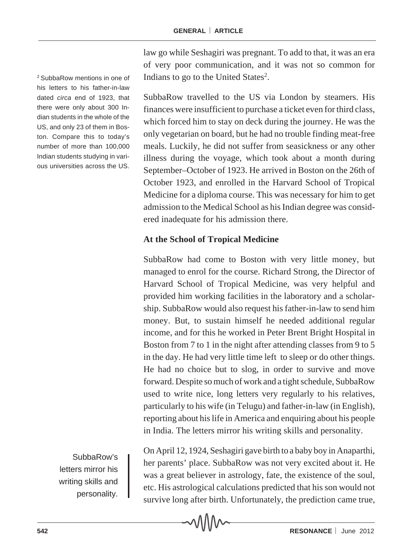2 SubbaRow mentions in one of his letters to his father-in-law dated *circa* end of 1923, that there were only about 300 Indian students in the whole of the US, and only 23 of them in Boston. Compare this to today's number of more than 100,000 Indian students studying in various universities across the US.

law go while Seshagiri was pregnant. To add to that, it was an era of very poor communication, and it was not so common for Indians to go to the United States<sup>2</sup>.

SubbaRow travelled to the US via London by steamers. His finances were insufficient to purchase a ticket even for third class, which forced him to stay on deck during the journey. He was the only vegetarian on board, but he had no trouble finding meat-free meals. Luckily, he did not suffer from seasickness or any other illness during the voyage, which took about a month during September–October of 1923. He arrived in Boston on the 26th of October 1923, and enrolled in the Harvard School of Tropical Medicine for a diploma course. This was necessary for him to get admission to the Medical School as his Indian degree was considered inadequate for his admission there.

# **At the School of Tropical Medicine**

SubbaRow had come to Boston with very little money, but managed to enrol for the course. Richard Strong, the Director of Harvard School of Tropical Medicine, was very helpful and provided him working facilities in the laboratory and a scholarship. SubbaRow would also request his father-in-law to send him money. But, to sustain himself he needed additional regular income, and for this he worked in Peter Brent Bright Hospital in Boston from 7 to 1 in the night after attending classes from 9 to 5 in the day. He had very little time left to sleep or do other things. He had no choice but to slog, in order to survive and move forward. Despite so much of work and a tight schedule, SubbaRow used to write nice, long letters very regularly to his relatives, particularly to his wife (in Telugu) and father-in-law (in English), reporting about his life in America and enquiring about his people in India. The letters mirror his writing skills and personality.

SubbaRow's letters mirror his writing skills and personality.

On April 12, 1924, Seshagiri gave birth to a baby boy in Anaparthi, her parents' place. SubbaRow was not very excited about it. He was a great believer in astrology, fate, the existence of the soul, etc. His astrological calculations predicted that his son would not survive long after birth. Unfortunately, the prediction came true,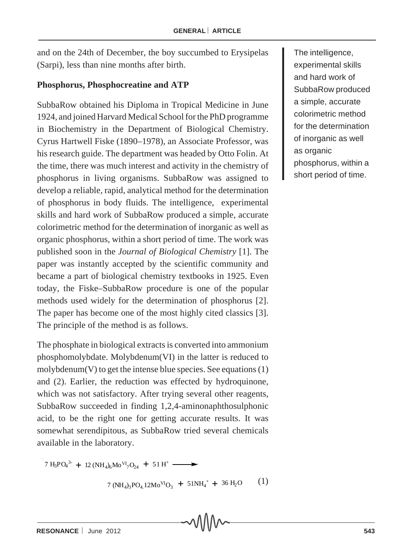and on the 24th of December, the boy succumbed to Erysipelas (Sarpi), less than nine months after birth.

#### **Phosphorus, Phosphocreatine and ATP**

SubbaRow obtained his Diploma in Tropical Medicine in June 1924, and joined Harvard Medical School for the PhD programme in Biochemistry in the Department of Biological Chemistry. Cyrus Hartwell Fiske (1890–1978), an Associate Professor, was his research guide. The department was headed by Otto Folin. At the time, there was much interest and activity in the chemistry of phosphorus in living organisms. SubbaRow was assigned to develop a reliable, rapid, analytical method for the determination of phosphorus in body fluids. The intelligence, experimental skills and hard work of SubbaRow produced a simple, accurate colorimetric method for the determination of inorganic as well as organic phosphorus, within a short period of time. The work was published soon in the *Journal of Biological Chemistry* [1]. The paper was instantly accepted by the scientific community and became a part of biological chemistry textbooks in 1925. Even today, the Fiske–SubbaRow procedure is one of the popular methods used widely for the determination of phosphorus [2]. The paper has become one of the most highly cited classics [3]. The principle of the method is as follows.

The phosphate in biological extracts is converted into ammonium phosphomolybdate. Molybdenum(VI) in the latter is reduced to molybdenum(V) to get the intense blue species. See equations (1) and (2). Earlier, the reduction was effected by hydroquinone, which was not satisfactory. After trying several other reagents, SubbaRow succeeded in finding 1,2,4-aminonaphthosulphonic acid, to be the right one for getting accurate results. It was somewhat serendipitous, as SubbaRow tried several chemicals available in the laboratory.

$$
7 H_3PO_4^{3} + 12(NH_4)_6Mo^{VI}7O_{24} + 51H^+ \longrightarrow
$$
  
7 (NH<sub>4</sub>)<sub>3</sub>PO<sub>4</sub> 12Mo<sup>VI</sup>O<sub>3</sub> + 51NH<sub>4</sub><sup>+</sup> + 36 H<sub>2</sub>O (1)

The intelligence, experimental skills and hard work of SubbaRow produced a simple, accurate colorimetric method for the determination of inorganic as well as organic phosphorus, within a short period of time.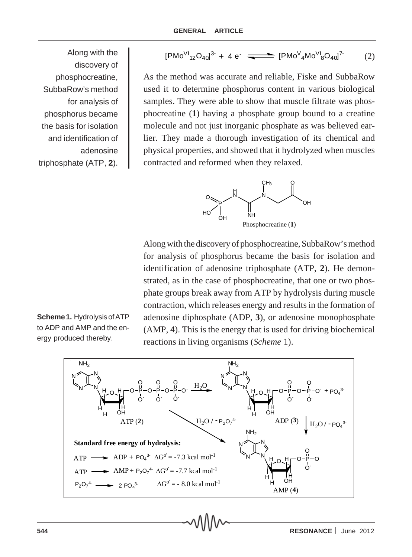Along with the discovery of phosphocreatine, SubbaRow's method for analysis of phosphorus became the basis for isolation and identification of adenosine triphosphate (ATP, **2**).

$$
[PMo^{VI}{}_{12}O_{40}]^{3-} + 4 e^- \longrightarrow [PMo^{V}{}_{4}Mo^{VI}{}_{8}O_{40}]^{7} \tag{2}
$$

As the method was accurate and reliable, Fiske and SubbaRow used it to determine phosphorus content in various biological samples. They were able to show that muscle filtrate was phosphocreatine (**1**) having a phosphate group bound to a creatine molecule and not just inorganic phosphate as was believed earlier. They made a thorough investigation of its chemical and physical properties, and showed that it hydrolyzed when muscles contracted and reformed when they relaxed.



Along with the discovery of phosphocreatine, SubbaRow's method for analysis of phosphorus became the basis for isolation and identification of adenosine triphosphate (ATP, **2**). He demonstrated, as in the case of phosphocreatine, that one or two phosphate groups break away from ATP by hydrolysis during muscle contraction, which releases energy and results in the formation of adenosine diphosphate (ADP, **3**), or adenosine monophosphate (AMP, **4**). This is the energy that is used for driving biochemical reactions in living organisms (*Scheme* 1).



**Scheme 1.** Hydrolysis of ATP to ADP and AMP and the energy produced thereby.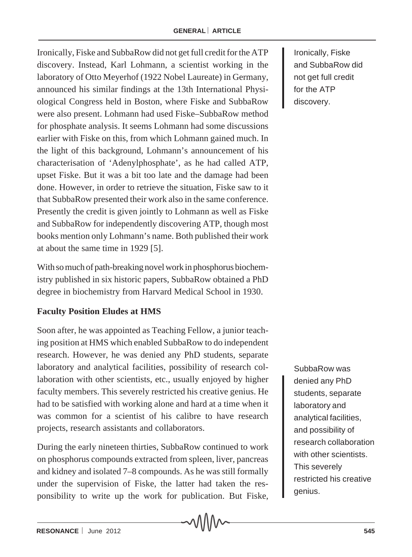Ironically, Fiske and SubbaRow did not get full credit for the ATP discovery. Instead, Karl Lohmann, a scientist working in the laboratory of Otto Meyerhof (1922 Nobel Laureate) in Germany, announced his similar findings at the 13th International Physiological Congress held in Boston, where Fiske and SubbaRow were also present. Lohmann had used Fiske–SubbaRow method for phosphate analysis. It seems Lohmann had some discussions earlier with Fiske on this, from which Lohmann gained much. In the light of this background, Lohmann's announcement of his characterisation of 'Adenylphosphate', as he had called ATP, upset Fiske. But it was a bit too late and the damage had been done. However, in order to retrieve the situation, Fiske saw to it that SubbaRow presented their work also in the same conference. Presently the credit is given jointly to Lohmann as well as Fiske and SubbaRow for independently discovering ATP, though most books mention only Lohmann's name. Both published their work at about the same time in 1929 [5].

With so much of path-breaking novel work in phosphorus biochemistry published in six historic papers, SubbaRow obtained a PhD degree in biochemistry from Harvard Medical School in 1930.

# **Faculty Position Eludes at HMS**

Soon after, he was appointed as Teaching Fellow, a junior teaching position at HMS which enabled SubbaRow to do independent research. However, he was denied any PhD students, separate laboratory and analytical facilities, possibility of research collaboration with other scientists, etc., usually enjoyed by higher faculty members. This severely restricted his creative genius. He had to be satisfied with working alone and hard at a time when it was common for a scientist of his calibre to have research projects, research assistants and collaborators.

During the early nineteen thirties, SubbaRow continued to work on phosphorus compounds extracted from spleen, liver, pancreas and kidney and isolated 7–8 compounds. As he was still formally under the supervision of Fiske, the latter had taken the responsibility to write up the work for publication. But Fiske,

Ironically, Fiske and SubbaRow did not get full credit for the ATP discovery.

SubbaRow was denied any PhD students, separate laboratory and analytical facilities, and possibility of research collaboration with other scientists. This severely restricted his creative genius.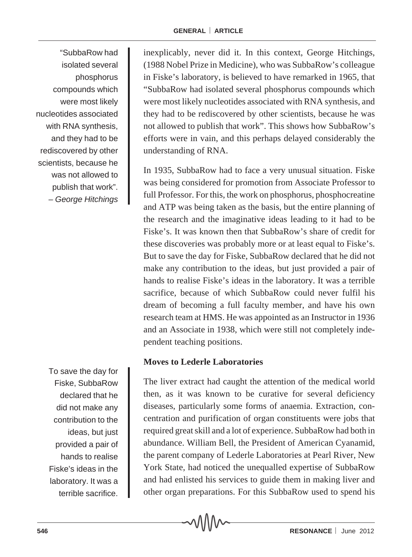"SubbaRow had isolated several phosphorus compounds which were most likely nucleotides associated with RNA synthesis, and they had to be rediscovered by other scientists, because he was not allowed to publish that work". – *George Hitchings*

> To save the day for Fiske, SubbaRow declared that he did not make any contribution to the ideas, but just provided a pair of hands to realise Fiske's ideas in the laboratory. It was a terrible sacrifice.

inexplicably, never did it. In this context, George Hitchings, (1988 Nobel Prize in Medicine), who was SubbaRow's colleague in Fiske's laboratory, is believed to have remarked in 1965, that "SubbaRow had isolated several phosphorus compounds which were most likely nucleotides associated with RNA synthesis, and they had to be rediscovered by other scientists, because he was not allowed to publish that work". This shows how SubbaRow's efforts were in vain, and this perhaps delayed considerably the understanding of RNA.

In 1935, SubbaRow had to face a very unusual situation. Fiske was being considered for promotion from Associate Professor to full Professor. For this, the work on phosphorus, phosphocreatine and ATP was being taken as the basis, but the entire planning of the research and the imaginative ideas leading to it had to be Fiske's. It was known then that SubbaRow's share of credit for these discoveries was probably more or at least equal to Fiske's. But to save the day for Fiske, SubbaRow declared that he did not make any contribution to the ideas, but just provided a pair of hands to realise Fiske's ideas in the laboratory. It was a terrible sacrifice, because of which SubbaRow could never fulfil his dream of becoming a full faculty member, and have his own research team at HMS. He was appointed as an Instructor in 1936 and an Associate in 1938, which were still not completely independent teaching positions.

# **Moves to Lederle Laboratories**

The liver extract had caught the attention of the medical world then, as it was known to be curative for several deficiency diseases, particularly some forms of anaemia. Extraction, concentration and purification of organ constituents were jobs that required great skill and a lot of experience. SubbaRow had both in abundance. William Bell, the President of American Cyanamid, the parent company of Lederle Laboratories at Pearl River, New York State, had noticed the unequalled expertise of SubbaRow and had enlisted his services to guide them in making liver and other organ preparations. For this SubbaRow used to spend his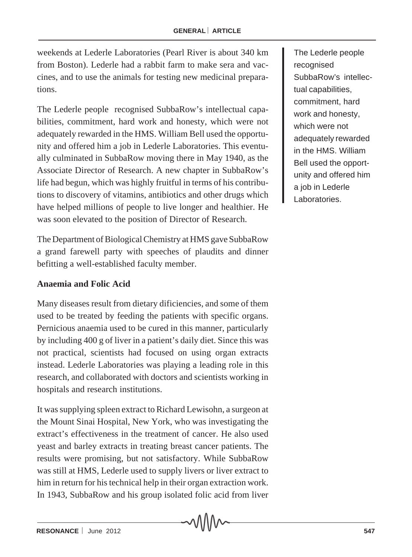weekends at Lederle Laboratories (Pearl River is about 340 km from Boston). Lederle had a rabbit farm to make sera and vaccines, and to use the animals for testing new medicinal preparations.

The Lederle people recognised SubbaRow's intellectual capabilities, commitment, hard work and honesty, which were not adequately rewarded in the HMS. William Bell used the opportunity and offered him a job in Lederle Laboratories. This eventually culminated in SubbaRow moving there in May 1940, as the Associate Director of Research. A new chapter in SubbaRow's life had begun, which was highly fruitful in terms of his contributions to discovery of vitamins, antibiotics and other drugs which have helped millions of people to live longer and healthier. He was soon elevated to the position of Director of Research.

The Department of Biological Chemistry at HMS gave SubbaRow a grand farewell party with speeches of plaudits and dinner befitting a well-established faculty member.

#### **Anaemia and Folic Acid**

Many diseases result from dietary dificiencies, and some of them used to be treated by feeding the patients with specific organs. Pernicious anaemia used to be cured in this manner, particularly by including 400 g of liver in a patient's daily diet. Since this was not practical, scientists had focused on using organ extracts instead. Lederle Laboratories was playing a leading role in this research, and collaborated with doctors and scientists working in hospitals and research institutions.

It was supplying spleen extract to Richard Lewisohn, a surgeon at the Mount Sinai Hospital, New York, who was investigating the extract's effectiveness in the treatment of cancer. He also used yeast and barley extracts in treating breast cancer patients. The results were promising, but not satisfactory. While SubbaRow was still at HMS, Lederle used to supply livers or liver extract to him in return for his technical help in their organ extraction work. In 1943, SubbaRow and his group isolated folic acid from liver

The Lederle people recognised SubbaRow's intellectual capabilities, commitment, hard work and honesty, which were not adequately rewarded in the HMS. William Bell used the opportunity and offered him a job in Lederle Laboratories.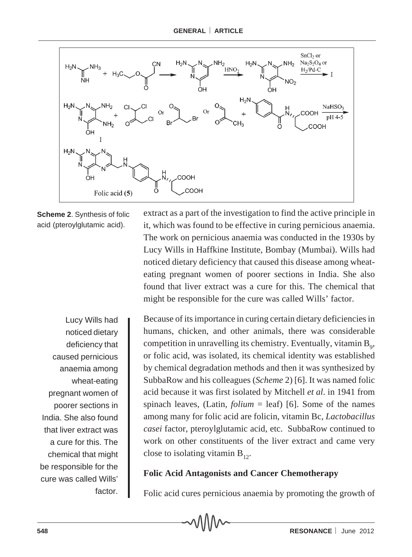

**Scheme 2**. Synthesis of folic acid (pteroylglutamic acid).

extract as a part of the investigation to find the active principle in it, which was found to be effective in curing pernicious anaemia. The work on pernicious anaemia was conducted in the 1930s by Lucy Wills in Haffkine Institute, Bombay (Mumbai). Wills had noticed dietary deficiency that caused this disease among wheateating pregnant women of poorer sections in India. She also found that liver extract was a cure for this. The chemical that might be responsible for the cure was called Wills' factor.

 Lucy Wills had noticed dietary deficiency that caused pernicious anaemia among wheat-eating pregnant women of poorer sections in India. She also found that liver extract was a cure for this. The chemical that might be responsible for the cure was called Wills' factor.

Because of its importance in curing certain dietary deficiencies in humans, chicken, and other animals, there was considerable competition in unravelling its chemistry. Eventually, vitamin  $B_{0}$ , or folic acid, was isolated, its chemical identity was established by chemical degradation methods and then it was synthesized by SubbaRow and his colleagues (*Scheme* 2) [6]. It was named folic acid because it was first isolated by Mitchell *et al*. in 1941 from spinach leaves, (Latin, *folium* = leaf) [6]. Some of the names among many for folic acid are folicin, vitamin Bc, *Lactobacillus casei* factor, pteroylglutamic acid, etc. SubbaRow continued to work on other constituents of the liver extract and came very close to isolating vitamin  $B_{12}$ .

# **Folic Acid Antagonists and Cancer Chemotherapy**

Folic acid cures pernicious anaemia by promoting the growth of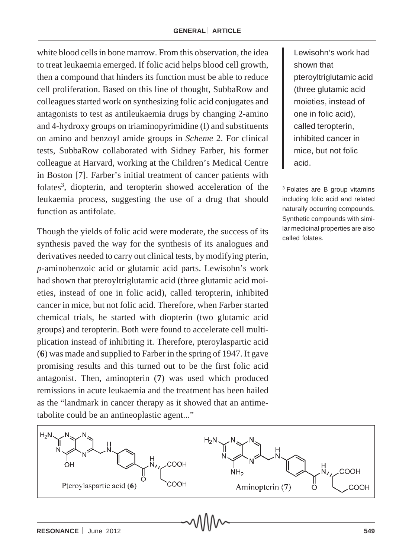white blood cells in bone marrow. From this observation, the idea to treat leukaemia emerged. If folic acid helps blood cell growth, then a compound that hinders its function must be able to reduce cell proliferation. Based on this line of thought, SubbaRow and colleagues started work on synthesizing folic acid conjugates and antagonists to test as antileukaemia drugs by changing 2-amino and 4-hydroxy groups on triaminopyrimidine (I) and substituents on amino and benzoyl amide groups in *Scheme* 2. For clinical tests, SubbaRow collaborated with Sidney Farber, his former colleague at Harvard, working at the Children's Medical Centre in Boston [7]. Farber's initial treatment of cancer patients with folates<sup>3</sup>, diopterin, and teropterin showed acceleration of the leukaemia process, suggesting the use of a drug that should function as antifolate.

Though the yields of folic acid were moderate, the success of its synthesis paved the way for the synthesis of its analogues and derivatives needed to carry out clinical tests, by modifying pterin, *p*-aminobenzoic acid or glutamic acid parts. Lewisohn's work had shown that pteroyltriglutamic acid (three glutamic acid moieties, instead of one in folic acid), called teropterin, inhibited cancer in mice, but not folic acid. Therefore, when Farber started chemical trials, he started with diopterin (two glutamic acid groups) and teropterin. Both were found to accelerate cell multiplication instead of inhibiting it. Therefore, pteroylaspartic acid (**6**) was made and supplied to Farber in the spring of 1947. It gave promising results and this turned out to be the first folic acid antagonist. Then, aminopterin (**7**) was used which produced remissions in acute leukaemia and the treatment has been hailed as the "landmark in cancer therapy as it showed that an antimetabolite could be an antineoplastic agent..."

Lewisohn's work had shown that pteroyltriglutamic acid (three glutamic acid moieties, instead of one in folic acid), called teropterin, inhibited cancer in mice, but not folic acid.

3 Folates are B group vitamins including folic acid and related naturally occurring compounds. Synthetic compounds with similar medicinal properties are also called folates.

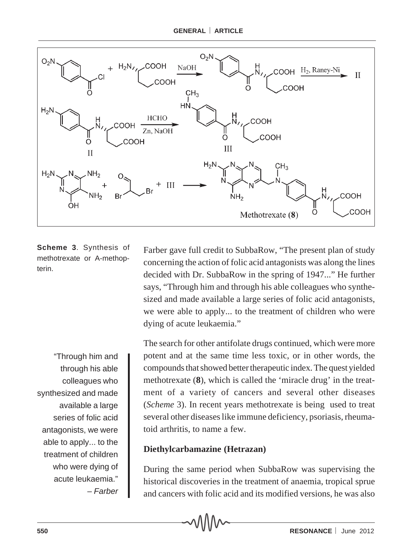

**Scheme 3**. Synthesis of methotrexate or A-methopterin.

"Through him and through his able colleagues who synthesized and made available a large series of folic acid antagonists, we were able to apply... to the treatment of children who were dying of acute leukaemia." *– Farber*

Farber gave full credit to SubbaRow, "The present plan of study concerning the action of folic acid antagonists was along the lines decided with Dr. SubbaRow in the spring of 1947..." He further says, "Through him and through his able colleagues who synthesized and made available a large series of folic acid antagonists, we were able to apply... to the treatment of children who were dying of acute leukaemia."

The search for other antifolate drugs continued, which were more potent and at the same time less toxic, or in other words, the compounds that showed better therapeutic index. The quest yielded methotrexate (**8**), which is called the 'miracle drug' in the treatment of a variety of cancers and several other diseases (*Scheme* 3). In recent years methotrexate is being used to treat several other diseases like immune deficiency, psoriasis, rheumatoid arthritis, to name a few.

# **Diethylcarbamazine (Hetrazan)**

During the same period when SubbaRow was supervising the historical discoveries in the treatment of anaemia, tropical sprue and cancers with folic acid and its modified versions, he was also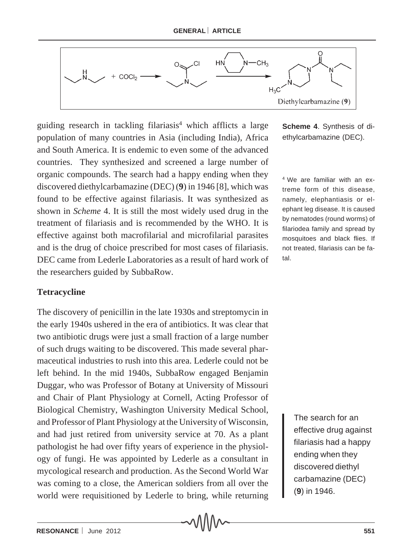

guiding research in tackling filariasis<sup>4</sup> which afflicts a large population of many countries in Asia (including India), Africa and South America. It is endemic to even some of the advanced countries. They synthesized and screened a large number of organic compounds. The search had a happy ending when they discovered diethylcarbamazine (DEC) (**9**) in 1946 [8], which was found to be effective against filariasis. It was synthesized as shown in *Scheme* 4. It is still the most widely used drug in the treatment of filariasis and is recommended by the WHO. It is effective against both macrofilarial and microfilarial parasites and is the drug of choice prescribed for most cases of filariasis. DEC came from Lederle Laboratories as a result of hard work of the researchers guided by SubbaRow.

#### **Tetracycline**

The discovery of penicillin in the late 1930s and streptomycin in the early 1940s ushered in the era of antibiotics. It was clear that two antibiotic drugs were just a small fraction of a large number of such drugs waiting to be discovered. This made several pharmaceutical industries to rush into this area. Lederle could not be left behind. In the mid 1940s, SubbaRow engaged Benjamin Duggar, who was Professor of Botany at University of Missouri and Chair of Plant Physiology at Cornell, Acting Professor of Biological Chemistry, Washington University Medical School, and Professor of Plant Physiology at the University of Wisconsin, and had just retired from university service at 70. As a plant pathologist he had over fifty years of experience in the physiology of fungi. He was appointed by Lederle as a consultant in mycological research and production. As the Second World War was coming to a close, the American soldiers from all over the world were requisitioned by Lederle to bring, while returning

**Scheme 4**. Synthesis of diethylcarbamazine (DEC).

4 We are familiar with an extreme form of this disease, namely, elephantiasis or elephant leg disease. It is caused by nematodes (round worms) of filariodea family and spread by mosquitoes and black flies. If not treated, filariasis can be fatal.

> The search for an effective drug against filariasis had a happy ending when they discovered diethyl carbamazine (DEC) (**9**) in 1946.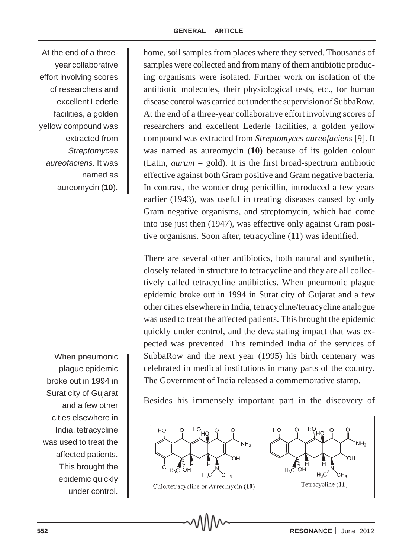At the end of a threeyear collaborative effort involving scores of researchers and excellent Lederle facilities, a golden yellow compound was extracted from *Streptomyces aureofaciens*. It was named as aureomycin (**10**).

When pneumonic plague epidemic broke out in 1994 in Surat city of Gujarat and a few other cities elsewhere in India, tetracycline was used to treat the affected patients. This brought the epidemic quickly under control.

home, soil samples from places where they served. Thousands of samples were collected and from many of them antibiotic producing organisms were isolated. Further work on isolation of the antibiotic molecules, their physiological tests, etc., for human disease control was carried out under the supervision of SubbaRow. At the end of a three-year collaborative effort involving scores of researchers and excellent Lederle facilities, a golden yellow compound was extracted from *Streptomyces aureofaciens* [9]. It was named as aureomycin (**10**) because of its golden colour (Latin, *aurum* = gold). It is the first broad-spectrum antibiotic effective against both Gram positive and Gram negative bacteria. In contrast, the wonder drug penicillin, introduced a few years earlier (1943), was useful in treating diseases caused by only Gram negative organisms, and streptomycin, which had come into use just then (1947), was effective only against Gram positive organisms. Soon after, tetracycline (**11**) was identified.

There are several other antibiotics, both natural and synthetic, closely related in structure to tetracycline and they are all collectively called tetracycline antibiotics. When pneumonic plague epidemic broke out in 1994 in Surat city of Gujarat and a few other cities elsewhere in India, tetracycline/tetracycline analogue was used to treat the affected patients. This brought the epidemic quickly under control, and the devastating impact that was expected was prevented. This reminded India of the services of SubbaRow and the next year (1995) his birth centenary was celebrated in medical institutions in many parts of the country. The Government of India released a commemorative stamp.

Besides his immensely important part in the discovery of



**552 RESONANCE**  $\overline{V}$  **V**  $\overline{V}$  **RESONANCE**  $\overline{S}$  June 2012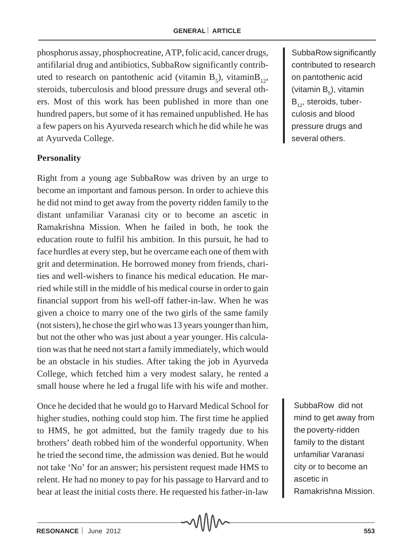phosphorus assay, phosphocreatine, ATP, folic acid, cancer drugs, antifilarial drug and antibiotics, SubbaRow significantly contributed to research on pantothenic acid (vitamin  $B_5$ ), vitamin $B_{12}$ , steroids, tuberculosis and blood pressure drugs and several others. Most of this work has been published in more than one hundred papers, but some of it has remained unpublished. He has a few papers on his Ayurveda research which he did while he was at Ayurveda College.

## **Personality**

Right from a young age SubbaRow was driven by an urge to become an important and famous person. In order to achieve this he did not mind to get away from the poverty ridden family to the distant unfamiliar Varanasi city or to become an ascetic in Ramakrishna Mission. When he failed in both, he took the education route to fulfil his ambition. In this pursuit, he had to face hurdles at every step, but he overcame each one of them with grit and determination. He borrowed money from friends, charities and well-wishers to finance his medical education. He married while still in the middle of his medical course in order to gain financial support from his well-off father-in-law. When he was given a choice to marry one of the two girls of the same family (not sisters), he chose the girl who was 13 years younger than him, but not the other who was just about a year younger. His calculation was that he need not start a family immediately, which would be an obstacle in his studies. After taking the job in Ayurveda College, which fetched him a very modest salary, he rented a small house where he led a frugal life with his wife and mother.

Once he decided that he would go to Harvard Medical School for higher studies, nothing could stop him. The first time he applied to HMS, he got admitted, but the family tragedy due to his brothers' death robbed him of the wonderful opportunity. When he tried the second time, the admission was denied. But he would not take 'No' for an answer; his persistent request made HMS to relent. He had no money to pay for his passage to Harvard and to bear at least the initial costs there. He requested his father-in-law SubbaRow significantly contributed to research on pantothenic acid (vitamin  $B_5$ ), vitamin B<sub>12</sub>, steroids, tuberculosis and blood pressure drugs and several others.

SubbaRow did not mind to get away from the poverty-ridden family to the distant unfamiliar Varanasi city or to become an ascetic in Ramakrishna Mission.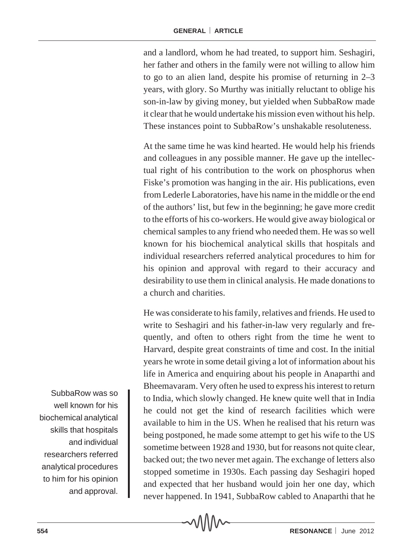and a landlord, whom he had treated, to support him. Seshagiri, her father and others in the family were not willing to allow him to go to an alien land, despite his promise of returning in 2–3 years, with glory. So Murthy was initially reluctant to oblige his son-in-law by giving money, but yielded when SubbaRow made it clear that he would undertake his mission even without his help. These instances point to SubbaRow's unshakable resoluteness.

At the same time he was kind hearted. He would help his friends and colleagues in any possible manner. He gave up the intellectual right of his contribution to the work on phosphorus when Fiske's promotion was hanging in the air. His publications, even from Lederle Laboratories, have his name in the middle or the end of the authors' list, but few in the beginning; he gave more credit to the efforts of his co-workers. He would give away biological or chemical samples to any friend who needed them. He was so well known for his biochemical analytical skills that hospitals and individual researchers referred analytical procedures to him for his opinion and approval with regard to their accuracy and desirability to use them in clinical analysis. He made donations to a church and charities.

He was considerate to his family, relatives and friends. He used to write to Seshagiri and his father-in-law very regularly and frequently, and often to others right from the time he went to Harvard, despite great constraints of time and cost. In the initial years he wrote in some detail giving a lot of information about his life in America and enquiring about his people in Anaparthi and Bheemavaram. Very often he used to express his interest to return to India, which slowly changed. He knew quite well that in India he could not get the kind of research facilities which were available to him in the US. When he realised that his return was being postponed, he made some attempt to get his wife to the US sometime between 1928 and 1930, but for reasons not quite clear, backed out; the two never met again. The exchange of letters also stopped sometime in 1930s. Each passing day Seshagiri hoped and expected that her husband would join her one day, which never happened. In 1941, SubbaRow cabled to Anaparthi that he

SubbaRow was so well known for his biochemical analytical skills that hospitals and individual researchers referred analytical procedures to him for his opinion and approval.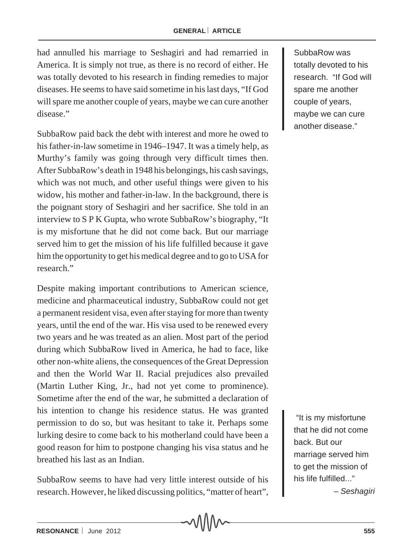had annulled his marriage to Seshagiri and had remarried in America. It is simply not true, as there is no record of either. He was totally devoted to his research in finding remedies to major diseases. He seems to have said sometime in his last days, "If God will spare me another couple of years, maybe we can cure another disease."

SubbaRow paid back the debt with interest and more he owed to his father-in-law sometime in 1946–1947. It was a timely help, as Murthy's family was going through very difficult times then. After SubbaRow's death in 1948 his belongings, his cash savings, which was not much, and other useful things were given to his widow, his mother and father-in-law. In the background, there is the poignant story of Seshagiri and her sacrifice. She told in an interview to S P K Gupta, who wrote SubbaRow's biography, "It is my misfortune that he did not come back. But our marriage served him to get the mission of his life fulfilled because it gave him the opportunity to get his medical degree and to go to USA for research."

Despite making important contributions to American science, medicine and pharmaceutical industry, SubbaRow could not get a permanent resident visa, even after staying for more than twenty years, until the end of the war. His visa used to be renewed every two years and he was treated as an alien. Most part of the period during which SubbaRow lived in America, he had to face, like other non-white aliens, the consequences of the Great Depression and then the World War II. Racial prejudices also prevailed (Martin Luther King, Jr., had not yet come to prominence). Sometime after the end of the war, he submitted a declaration of his intention to change his residence status. He was granted permission to do so, but was hesitant to take it. Perhaps some lurking desire to come back to his motherland could have been a good reason for him to postpone changing his visa status and he breathed his last as an Indian.

SubbaRow seems to have had very little interest outside of his research. However, he liked discussing politics, "matter of heart",

SubbaRow was totally devoted to his research. "If God will spare me another couple of years, maybe we can cure another disease."

 "It is my misfortune that he did not come back. But our marriage served him to get the mission of his life fulfilled..."

– *Seshagiri*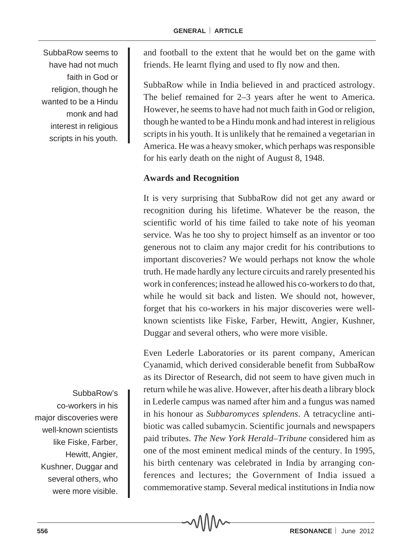SubbaRow seems to have had not much faith in God or religion, though he wanted to be a Hindu monk and had interest in religious scripts in his youth.

SubbaRow's co-workers in his major discoveries were well-known scientists like Fiske, Farber, Hewitt, Angier, Kushner, Duggar and several others, who were more visible.

and football to the extent that he would bet on the game with friends. He learnt flying and used to fly now and then.

SubbaRow while in India believed in and practiced astrology. The belief remained for 2–3 years after he went to America. However, he seems to have had not much faith in God or religion, though he wanted to be a Hindu monk and had interest in religious scripts in his youth. It is unlikely that he remained a vegetarian in America. He was a heavy smoker, which perhaps was responsible for his early death on the night of August 8, 1948.

## **Awards and Recognition**

It is very surprising that SubbaRow did not get any award or recognition during his lifetime. Whatever be the reason, the scientific world of his time failed to take note of his yeoman service. Was he too shy to project himself as an inventor or too generous not to claim any major credit for his contributions to important discoveries? We would perhaps not know the whole truth. He made hardly any lecture circuits and rarely presented his work in conferences; instead he allowed his co-workers to do that, while he would sit back and listen. We should not, however, forget that his co-workers in his major discoveries were wellknown scientists like Fiske, Farber, Hewitt, Angier, Kushner, Duggar and several others, who were more visible.

Even Lederle Laboratories or its parent company, American Cyanamid, which derived considerable benefit from SubbaRow as its Director of Research, did not seem to have given much in return while he was alive. However, after his death a library block in Lederle campus was named after him and a fungus was named in his honour as *Subbaromyces splendens*. A tetracycline antibiotic was called subamycin. Scientific journals and newspapers paid tributes. *The New York Herald–Tribune* considered him as one of the most eminent medical minds of the century. In 1995, his birth centenary was celebrated in India by arranging conferences and lectures; the Government of India issued a commemorative stamp. Several medical institutions in India now